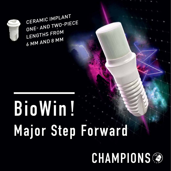

# **BioWin! Major Step Forward**



CERAMIC IMPLANT ONE- AND TWO-PIECE LENGTHS FROM 6 MM AND 8 MM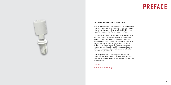#### **PREFACE**



#### Are Ceramic Implants Growing in Popularity?

Ceramic implants are ground-breaking, and their use has increased rapidly. Ceramic implants are a viable treatment option since titanium intolerance affects 10-15% of the population because of a placed titanium implant.

The solution is: ceramic implants made from zirconia. In this brochure we would like to present you the BioWin! ceramic implant. Since 2004, it has been on the market without being a new construction. Scientific studies have been conducted, including a 2-year long-term study (Prof. Becker), which has shown a 95.8% osseointegration success rate even in patients with periodontal disease. Without a screw connection, the implant, including the two-piece one, is metal-free.

Convince yourself of the advantages of the ceramic implant and in particular of the BioWin! For any further questions or queries, please do not hesitate to contact the Champions team.

#### Sincerely,

Dr. med. dent. Armin Nedjat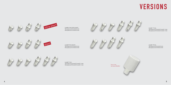Length 13 mm Two-piece ø 5.0 mm/4.5 mm One-piece ø 5.0 mm/4.5 mm



Length 11 mm Two-piece ø 5.0 mm/4.5 mm/4.1 mm One-piece ø 5.0 mm/4.5 mm/4.1 mm

Length 9 mm Two-piece ø 5,0 mm/4.5 mm/4.1 mm One-piece ø 5.0 mm/4.5 mm/4.1 mm

Length 8 mm (short)



Two-piece ø 5.5 mm/4.5 mm One-piece ø 5.5 mm/4.5 mm

Length 6 mm (ultra-short) Two-piece ø 5.5 mm/4.5 mm One-piece ø 5.5 mm/4.5 mm

> Post of the two-piece BioWin!

### **VERSIONS**







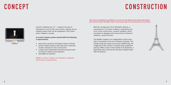

Ceramic implants are "in" – however, the aim of Champions is not to offer any ceramic implant, but an implant system that can be integrated in the Champions-Implants concept.

A ceramic implant system should fulfill the following 4 requirements:

- • placement using the minimally invasive method
- • proven implant system with long-term university studies instead of a new construction
- • rough surface (patented manufacturing process) to enhance rapid osseointegration
- • affordable for patients

BioWin! ceramic implants of Champions-Implants fulfill these 4 requirements.

## **CONCEPT CONSTRUCTION**



With this comparison, Prof. Mombelli, Geneva, a manufacturer of ceramic implants, emphasizes the error of the construction: ceramic implants, which are based on designs and constructions of titanium implants, cannot function.

The BioWin! implant is an independent construction that is not based on the one of titanium implants. The implant body was newly constructed. Additionally, the roughness of the surface is created using a patented process. What is new is that instead of an abutment, a glass fiber post connects the two-piece implant body with the denture.

"Man kann den Bauplan des Eiffelturms nicht auf eine Betonkonstruktion übertragen." (You cannot transfer the Eiffel Tower construction plan to the construction of concrete).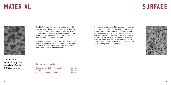The BioWin! ceramic implant consists of only 0.25% alumina (Al $_{_2}$ O $_{_3}$ ). In this way, the strength of this ceramic implant type is higher than the strength of the titanium implant. However, strength is not high to such an extent that there is a fracture risk, since higher strength (in MPa) means less elasticity.

The manufacture is not performed via injection molding or in-mold process, but the implant is individually milled. With a user-friendly software, dentists can also order individual implant shapes.

## **Material**



#### Comparison of strengths:

| Titanium grade 4b (cold-formed)  | 485 MPa   |
|----------------------------------|-----------|
| BioWin!                          | 1,400 MPa |
| Alumina Toughened Zirconia (ATZ) | 2,000 MPa |

8 a *9* 

The BioWin! ceramic implant consists of only 0.25% alumina.

### **SURFACE**



The material surface is vital for fast osseointegration. In fact, the surface of a titanium implant can be chemically and/or mechanically designed after production, but not the ceramic implant surface after sintering. Before sintering, the BioWin! surface is treated using a patented procedure to roughen the surface, which is rougher than the titanium implant surface. This surface roughness of the BioWin! results in good, fast osseointegration of the implant.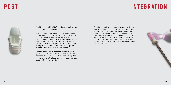What is new about the BioWin! is the post and the type of connection to the implant body.

International studies have shown that a gap between the abutment and the two-piece implant body, which is vulnerable to bacteria, can cause periimplantitis. Ceramic implants with a ceramic abutment have a big gap (> 80 μ), which can harbor bacteria (also MRSA [Methicillin-Resistant Staphylococcus Aureus]) in the inner part of the implant – which can cause periimplantitis, which can lead to implant failure.

The two-piece BioWin! implant is supplied with a glass fiber post. This post is glued with the implant body and allows for a connection without a gap that makes it resistant to bacteria. You can shape the post extra-orally or intra-orally.

### **Post**



#### **Integration**

Zirconia – no matter from which manufacturer it is delivered – is always hydrophobic, so it does not absorb liquids. In order to enhance osseointegration, a good contact of the implant surface with the blood of the alveolus is necessary. For this Champions-Implants recommends the portable handheld cold plasma device piezobrush, which is used to treat the implant by generating cold plasma chairside for 2 minutes before implant placement.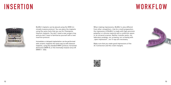## **Insertion**



BioWin! implants can be placed using the MIMI minimally invasive protocol. You can place the implants using the same tools that you use for Champions titanium implants. You don't need a new surgery tray, and you don't have to familiarize yourself with a new insertion protocol.

Immediate or delayed implantation can be performed with ceramic implants the same way as with titanium implants, using the standard MIMI I protocol, horizontal distraction (MIMI II), or the minimally invasive sinus lift (MIMI V – IDS).

When making impressions, BioWin! is also different from other competitors. Like for a tooth preparation, the impression of BioWin! is made with high-precision polyether or silicone material with a confection spoon or an intraoral scanner. Neither transfer posts, nor laboratory analogs, nor screwing, nor screwing with "open impression", nor X-rays are necessary.

Make sure that you make good impressions of the 3C-Connection and the crown margins.



## **Workflow**

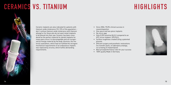## **CERAMICS VS. TITANIUM HIGHLIGHTS**



Ceramic implants are also indicated for patients with titanium oxide intolerance (10–15% of the population – don't confuse titanium oxide intolerance with titanium allergy) or for those who do not want metal implants to be placed into their jaw. Ceramic has been considered as the perfect material for dental implants for many years since it is biocompatible and not recognized as foreign material by the body. Alumina, the material used before, which had not fulfilled the stringent mechanical requirements of an endosseous implant, was replaced by zirconia, which fulfills demanding requirements.

- Since 2004: 95.8% clinical success in osseointegration
- • One-piece and two-piece implants
- No micro-gap
- $\bullet$  Only 0.25% alumina (Al<sub>2</sub>O<sub>3</sub>) compared to an ATZ-zircon implant: 25% Al $_2$ O $_3$
- • Surface roughness created using a patented process
- • Efficient surgery and prosthetic restorations (no transfer posts, no laboratory analogs, no screwing of implant/post)
- • Best price/performance ratio for your success
- 100% quality Made in Germany